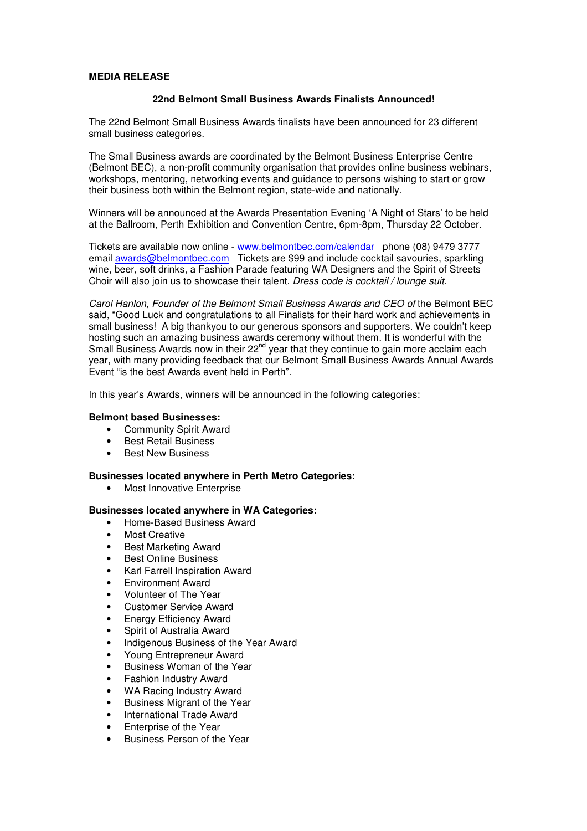# **MEDIA RELEASE**

# **22nd Belmont Small Business Awards Finalists Announced!**

The 22nd Belmont Small Business Awards finalists have been announced for 23 different small business categories.

The Small Business awards are coordinated by the Belmont Business Enterprise Centre (Belmont BEC), a non-profit community organisation that provides online business webinars, workshops, mentoring, networking events and guidance to persons wishing to start or grow their business both within the Belmont region, state-wide and nationally.

Winners will be announced at the Awards Presentation Evening 'A Night of Stars' to be held at the Ballroom, Perth Exhibition and Convention Centre, 6pm-8pm, Thursday 22 October.

Tickets are available now online - www.belmontbec.com/calendar phone (08) 9479 3777 email awards@belmontbec.com Tickets are \$99 and include cocktail savouries, sparkling wine, beer, soft drinks, a Fashion Parade featuring WA Designers and the Spirit of Streets Choir will also join us to showcase their talent. Dress code is cocktail / lounge suit.

Carol Hanlon, Founder of the Belmont Small Business Awards and CEO of the Belmont BEC said, "Good Luck and congratulations to all Finalists for their hard work and achievements in small business! A big thankyou to our generous sponsors and supporters. We couldn't keep hosting such an amazing business awards ceremony without them. It is wonderful with the Small Business Awards now in their  $22^{nd}$  year that they continue to gain more acclaim each year, with many providing feedback that our Belmont Small Business Awards Annual Awards Event "is the best Awards event held in Perth".

In this year's Awards, winners will be announced in the following categories:

#### **Belmont based Businesses:**

- Community Spirit Award
- Best Retail Business
- Best New Business

## **Businesses located anywhere in Perth Metro Categories:**

• Most Innovative Enterprise

## **Businesses located anywhere in WA Categories:**

- Home-Based Business Award
- Most Creative
- Best Marketing Award
- Best Online Business
- Karl Farrell Inspiration Award
- Environment Award
- Volunteer of The Year
- Customer Service Award
- **Energy Efficiency Award**
- Spirit of Australia Award
- Indigenous Business of the Year Award
- Young Entrepreneur Award
- Business Woman of the Year
- Fashion Industry Award
- WA Racing Industry Award
- Business Migrant of the Year
- International Trade Award
- Enterprise of the Year
- Business Person of the Year